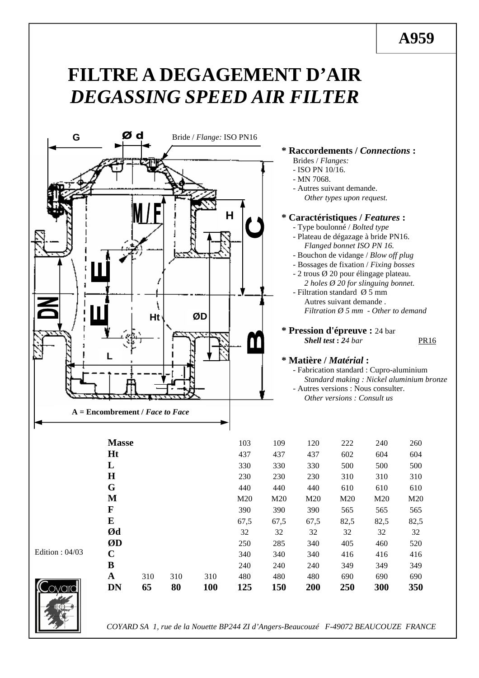# **FILTRE A DEGAGEMENT D'AIR** *DEGASSING SPEED AIR FILTER*



### **\* Raccordements /** *Connections* **:**

Brides / *Flanges:*

- ISO PN 10/16.
- 
- Autres suivant demande. *Other types upon request.*

## **\* Caractéristiques /** *Features* **:**

- Type boulonné / *Bolted type*
- Plateau de dégazage à bride PN16. *Flanged bonnet ISO PN 16.*
- Bouchon de vidange / *Blow off plug*
- *-* Bossages de fixation / *Fixing bosses*
- 2 trous Ø 20 pour élingage plateau. *2 holes Ø 20 for slinguing bonnet.*
- Filtration standard Ø 5 mm Autres suivant demande . *Filtration Ø 5 mm - Other to demand*

**\* Pression d'épreuve :** 24 bar *Shell test* **:** *24 bar* PR16

### **\* Matière /** *Matérial* **:**

- Fabrication standard : Cupro-aluminium *Standard making : Nickel aluminium bronze*

- Autres versions : Nous consulter.

*Other versions : Consult us*

| COYARD SA 1, rue de la Nouette BP244 ZI d'Angers-Beaucouzé F-49072 BEAUCOUZE FRANCE |  |  |  |  |  |  |
|-------------------------------------------------------------------------------------|--|--|--|--|--|--|
|                                                                                     |  |  |  |  |  |  |